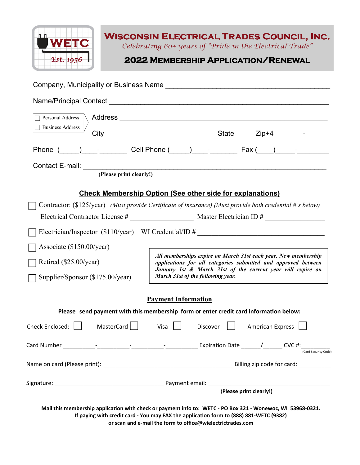

**WISCONSIN ELECTRICAL TRADES COUNCIL, INC.** 

Celebrating 60+ years of "Pride in the Electrical Trade"

**2022 Membership Application/Renewal 2022 Membership Application/Renewal** 

|                                                                                                                                                                                                                                                                     | Company, Municipality or Business Name entries are allowed to the control of the control of the control of the                   |
|---------------------------------------------------------------------------------------------------------------------------------------------------------------------------------------------------------------------------------------------------------------------|----------------------------------------------------------------------------------------------------------------------------------|
|                                                                                                                                                                                                                                                                     |                                                                                                                                  |
|                                                                                                                                                                                                                                                                     |                                                                                                                                  |
| <b>Business Address</b>                                                                                                                                                                                                                                             |                                                                                                                                  |
|                                                                                                                                                                                                                                                                     |                                                                                                                                  |
|                                                                                                                                                                                                                                                                     |                                                                                                                                  |
| (Please print clearly!)                                                                                                                                                                                                                                             |                                                                                                                                  |
| <b>Check Membership Option (See other side for explanations)</b>                                                                                                                                                                                                    |                                                                                                                                  |
|                                                                                                                                                                                                                                                                     | Contractor: (\$125/year) (Must provide Certificate of Insurance) (Must provide both credential #'s below)                        |
|                                                                                                                                                                                                                                                                     |                                                                                                                                  |
|                                                                                                                                                                                                                                                                     | Electrician/Inspector (\$110/year) WI Credential/ID #                                                                            |
| Associate (\$150.00/year)                                                                                                                                                                                                                                           |                                                                                                                                  |
| Retired (\$25.00/year)                                                                                                                                                                                                                                              | All memberships expire on March 31st each year. New membership<br>applications for all categories submitted and approved between |
| Supplier/Sponsor (\$175.00/year)                                                                                                                                                                                                                                    | January 1st & March 31st of the current year will expire on<br>March 31st of the following year.                                 |
| <b>Payment Information</b>                                                                                                                                                                                                                                          |                                                                                                                                  |
| Please send payment with this membership form or enter credit card information below:                                                                                                                                                                               |                                                                                                                                  |
| MasterCard    <br>Check Enclosed:                                                                                                                                                                                                                                   | $Visa$    <br><b>American Express</b><br>Discover                                                                                |
|                                                                                                                                                                                                                                                                     | (Card Security Code)                                                                                                             |
|                                                                                                                                                                                                                                                                     |                                                                                                                                  |
|                                                                                                                                                                                                                                                                     |                                                                                                                                  |
|                                                                                                                                                                                                                                                                     | (Please print clearly!)                                                                                                          |
| Mail this membership application with check or payment info to: WETC - PO Box 321 - Wonewoc, WI 53968-0321.<br>If paying with credit card - You may FAX the application form to (888) 881-WETC (9382)<br>or scan and e-mail the form to office@wielectrictrades.com |                                                                                                                                  |